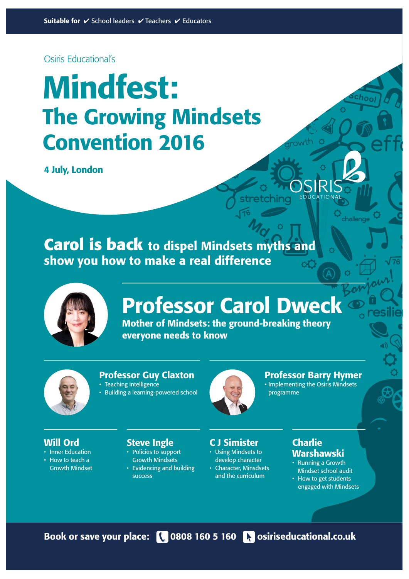Osiris Educational's

# **potential** Mindfest: The Growing Mindsets Convention 2016

4 July, London

 $M_{\alpha}$ **Carol is back** to dispel Mindsets myths and show you how to make a real difference



# Professor Carol Dweck

76

**stretching**

Mother of Mindsets: the ground-breaking theory everyone needs to know



### Professor Guy Claxton

- Teaching intelligence
- Building a learning-powered school



C J Simister • Using Mindsets to develop character • Character, Minsdsets and the curriculum

# Professor Barry Hymer

growth

a

**challenge**

b c

76

**resilie** 

eff

• Implementing the Osiris Mindsets programme

# Will Ord

- Inner Education
- How to teach a Growth Mindset

# Steve Ingle

- Policies to support Growth Mindsets
- Evidencing and building
	- success



# Warshawski

- Running a Growth Mindset school audit
- How to get students engaged with Mindsets

Book or save your place: \\ 0808 160 5 160 \\ osiriseducational.co.uk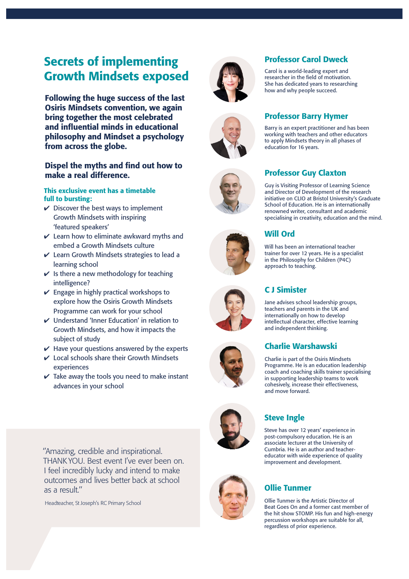# Secrets of implementing Growth Mindsets exposed

Following the huge success of the last Osiris Mindsets convention, we again bring together the most celebrated and influential minds in educational philosophy and Mindset a psychology from across the globe.

### Dispel the myths and find out how to make a real difference.

### This exclusive event has a timetable full to bursting:

- $\vee$  Discover the best ways to implement Growth Mindsets with inspiring 'featured speakers'
- $\vee$  Learn how to eliminate awkward myths and embed a Growth Mindsets culture
- $\vee$  Learn Growth Mindsets strategies to lead a learning school
- $\checkmark$  Is there a new methodology for teaching intelligence?
- $\vee$  Engage in highly practical workshops to explore how the Osiris Growth Mindsets Programme can work for your school
- $\boldsymbol{\nu}$  Understand 'Inner Education' in relation to Growth Mindsets, and how it impacts the subject of study
- $\vee$  Have your questions answered by the experts
- $\vee$  Local schools share their Growth Mindsets experiences
- $\checkmark$  Take away the tools you need to make instant advances in your school

''Amazing, credible and inspirational. THANK YOU. Best event I've ever been on. I feel incredibly lucky and intend to make outcomes and lives better back at school as a result.''

Headteacher, St Joseph's RC Primary School







# Professor Carol Dweck

Carol is a world-leading expert and researcher in the field of motivation. She has dedicated years to researching how and why people succeed.

### Professor Barry Hymer

Barry is an expert practitioner and has been working with teachers and other educators to apply Mindsets theory in all phases of education for 16 years.



### Professor Guy Claxton

Guy is Visiting Professor of Learning Science and Director of Development of the research initiative on CLIO at Bristol University's Graduate School of Education. He is an internationally renowned writer, consultant and academic specialising in creativity, education and the mind.

# Will Ord

Will has been an international teacher trainer for over 12 years. He is a specialist in the Philosophy for Children (P4C) approach to teaching.

# C J Simister

Jane advises school leadership groups, teachers and parents in the UK and internationally on how to develop intellectual character, effective learning and independent thinking.

# Charlie Warshawski

Charlie is part of the Osiris Mindsets Programme. He is an education leadership coach and coaching skills trainer specialising in supporting leadership teams to work cohesively, increase their effectiveness, and move forward.





### Steve Ingle

Steve has over 12 years' experience in post-compulsory education. He is an associate lecturer at the University of Cumbria. He is an author and teachereducator with wide experience of quality improvement and development.

# Ollie Tunmer

Ollie Tunmer is the Artistic Director of Beat Goes On and a former cast member of the hit show STOMP. His fun and high-energy percussion workshops are suitable for all, regardless of prior experience.





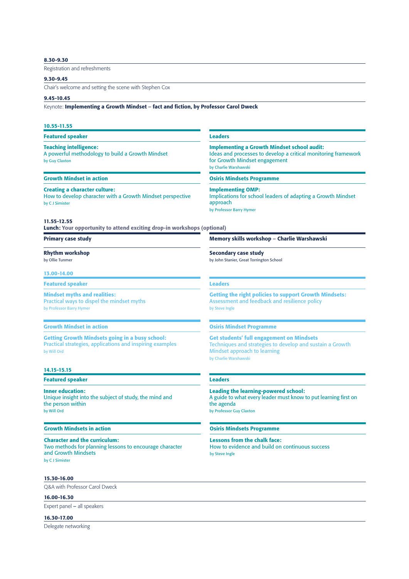#### 8.30-9.30

Registration and refreshments

#### 9.30-9.45

Chair's welcome and setting the scene with Stephen Cox

#### 9.45-10.45

Keynote: Implementing a Growth Mindset – fact and fiction, by Professor Carol Dweck

#### 10.55-11.55

Featured speaker

#### Teaching intelligence:

A powerful methodology to build a Growth Mindset by Guy Claxton

#### Growth Mindset in action

#### Creating a character culture:

How to develop character with a Growth Mindset perspective by C J Simister

#### 11.55-12.55

Lunch: Your opportunity to attend exciting drop-in workshops (optional)

#### Primary case study

Rhythm workshop by Ollie Tunmer

#### 13.00-14.00

Featured speaker

#### Mindset myths and realities:

Practical ways to dispel the mindset myths by Professor Barry Hymer

#### Growth Mindset in action

Getting Growth Mindsets going in a busy school: Practical strategies, applications and inspiring examples by Will Ord

#### 14.15-15.15

Featured speaker

Inner education: Unique insight into the subject of study, the mind and the person within by Will Ord

#### Growth Mindsets in action

Character and the curriculum: Two methods for planning lessons to encourage character and Growth Mindsets by C J Simister

#### Leaders

Implementing a Growth Mindset school audit: Ideas and processes to develop a critical monitoring framework for Growth Mindset engagement by Charlie Warshawski

#### Osiris Mindsets Programme

Implementing OMP: Implications for school leaders of adapting a Growth Mindset approach by Professor Barry Hymer

#### Memory skills workshop – Charlie Warshawski

Secondary case study by John Stanier, Great Torrington School

#### Leaders

Getting the right policies to support Growth Mindsets: Assessment and feedback and resilience policy by Steve Ingle

#### Osiris Mindset Programme

Get students' full engagement on Mindsets Techniques and strategies to develop and sustain a Growth Mindset approach to learning by Charlie Warshawski

#### Leaders

Leading the learning-powered school: A guide to what every leader must know to put learning first on the agenda by Professor Guy Claxton

### Osiris Mindsets Programme

Lessons from the chalk face: How to evidence and build on continuous success by Steve Ingle

#### 15.30-16.00

Q&A with Professor Carol Dweck

#### 16.00-16.30

Expert panel – all speakers

#### 16.30-17.00

Delegate networking